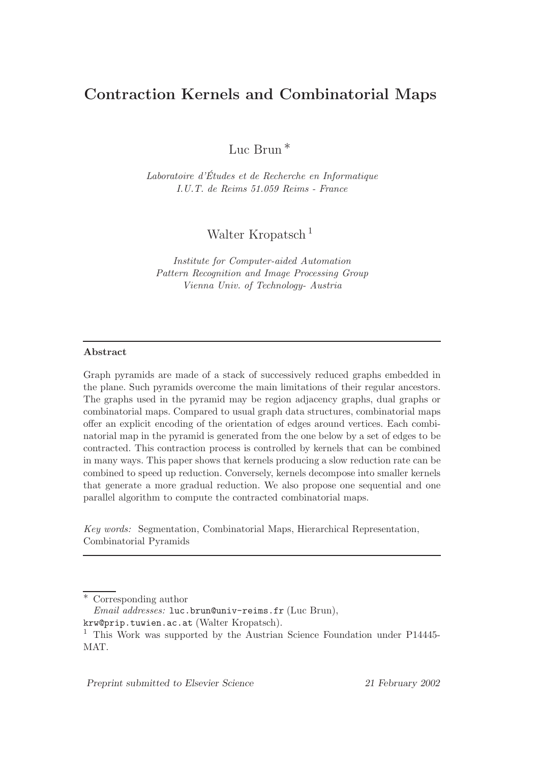# Contraction Kernels and Combinatorial Maps

Luc Brun ∗

Laboratoire d'Etudes et de Recherche en Informatique ´ I.U.T. de Reims 51.059 Reims - France

Walter Kropatsch<sup>1</sup>

Institute for Computer-aided Automation Pattern Recognition and Image Processing Group Vienna Univ. of Technology- Austria

## Abstract

Graph pyramids are made of a stack of successively reduced graphs embedded in the plane. Such pyramids overcome the main limitations of their regular ancestors. The graphs used in the pyramid may be region adjacency graphs, dual graphs or combinatorial maps. Compared to usual graph data structures, combinatorial maps offer an explicit encoding of the orientation of edges around vertices. Each combinatorial map in the pyramid is generated from the one below by a set of edges to be contracted. This contraction process is controlled by kernels that can be combined in many ways. This paper shows that kernels producing a slow reduction rate can be combined to speed up reduction. Conversely, kernels decompose into smaller kernels that generate a more gradual reduction. We also propose one sequential and one parallel algorithm to compute the contracted combinatorial maps.

Key words: Segmentation, Combinatorial Maps, Hierarchical Representation, Combinatorial Pyramids

Corresponding author

Email addresses: luc.brun@univ-reims.fr (Luc Brun),

Preprint submitted to Elsevier Science 21 February 2002

krw@prip.tuwien.ac.at (Walter Kropatsch).

<sup>&</sup>lt;sup>1</sup> This Work was supported by the Austrian Science Foundation under P14445-MAT.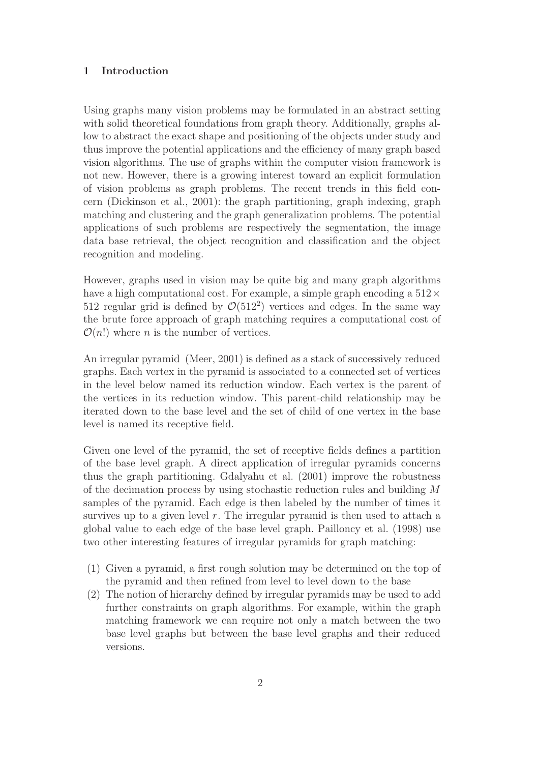## 1 Introduction

Using graphs many vision problems may be formulated in an abstract setting with solid theoretical foundations from graph theory. Additionally, graphs allow to abstract the exact shape and positioning of the objects under study and thus improve the potential applications and the efficiency of many graph based vision algorithms. The use of graphs within the computer vision framework is not new. However, there is a growing interest toward an explicit formulation of vision problems as graph problems. The recent trends in this field concern (Dickinson et al., 2001): the graph partitioning, graph indexing, graph matching and clustering and the graph generalization problems. The potential applications of such problems are respectively the segmentation, the image data base retrieval, the object recognition and classification and the object recognition and modeling.

However, graphs used in vision may be quite big and many graph algorithms have a high computational cost. For example, a simple graph encoding a  $512 \times$ 512 regular grid is defined by  $\mathcal{O}(512^2)$  vertices and edges. In the same way the brute force approach of graph matching requires a computational cost of  $\mathcal{O}(n!)$  where *n* is the number of vertices.

An irregular pyramid (Meer, 2001) is defined as a stack of successively reduced graphs. Each vertex in the pyramid is associated to a connected set of vertices in the level below named its reduction window. Each vertex is the parent of the vertices in its reduction window. This parent-child relationship may be iterated down to the base level and the set of child of one vertex in the base level is named its receptive field.

Given one level of the pyramid, the set of receptive fields defines a partition of the base level graph. A direct application of irregular pyramids concerns thus the graph partitioning. Gdalyahu et al. (2001) improve the robustness of the decimation process by using stochastic reduction rules and building M samples of the pyramid. Each edge is then labeled by the number of times it survives up to a given level  $r$ . The irregular pyramid is then used to attach a global value to each edge of the base level graph. Pailloncy et al. (1998) use two other interesting features of irregular pyramids for graph matching:

- (1) Given a pyramid, a first rough solution may be determined on the top of the pyramid and then refined from level to level down to the base
- (2) The notion of hierarchy defined by irregular pyramids may be used to add further constraints on graph algorithms. For example, within the graph matching framework we can require not only a match between the two base level graphs but between the base level graphs and their reduced versions.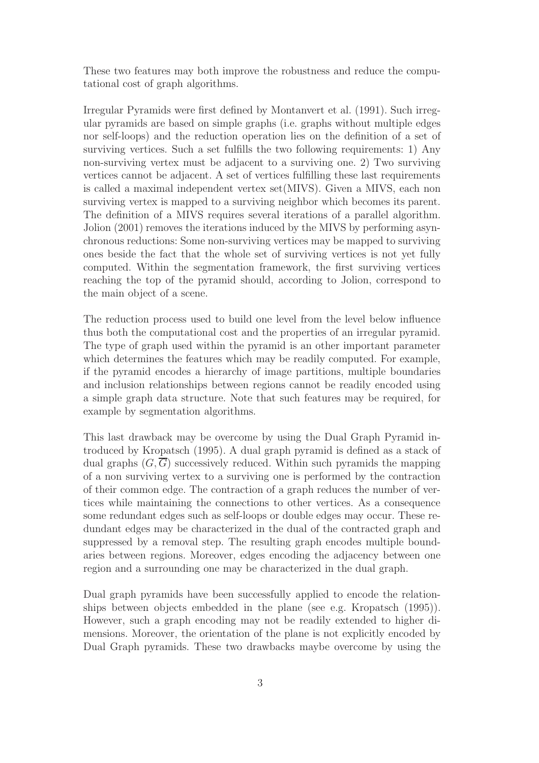These two features may both improve the robustness and reduce the computational cost of graph algorithms.

Irregular Pyramids were first defined by Montanvert et al. (1991). Such irregular pyramids are based on simple graphs (i.e. graphs without multiple edges nor self-loops) and the reduction operation lies on the definition of a set of surviving vertices. Such a set fulfills the two following requirements: 1) Any non-surviving vertex must be adjacent to a surviving one. 2) Two surviving vertices cannot be adjacent. A set of vertices fulfilling these last requirements is called a maximal independent vertex set(MIVS). Given a MIVS, each non surviving vertex is mapped to a surviving neighbor which becomes its parent. The definition of a MIVS requires several iterations of a parallel algorithm. Jolion (2001) removes the iterations induced by the MIVS by performing asynchronous reductions: Some non-surviving vertices may be mapped to surviving ones beside the fact that the whole set of surviving vertices is not yet fully computed. Within the segmentation framework, the first surviving vertices reaching the top of the pyramid should, according to Jolion, correspond to the main object of a scene.

The reduction process used to build one level from the level below influence thus both the computational cost and the properties of an irregular pyramid. The type of graph used within the pyramid is an other important parameter which determines the features which may be readily computed. For example, if the pyramid encodes a hierarchy of image partitions, multiple boundaries and inclusion relationships between regions cannot be readily encoded using a simple graph data structure. Note that such features may be required, for example by segmentation algorithms.

This last drawback may be overcome by using the Dual Graph Pyramid introduced by Kropatsch (1995). A dual graph pyramid is defined as a stack of dual graphs  $(G, \overline{G})$  successively reduced. Within such pyramids the mapping of a non surviving vertex to a surviving one is performed by the contraction of their common edge. The contraction of a graph reduces the number of vertices while maintaining the connections to other vertices. As a consequence some redundant edges such as self-loops or double edges may occur. These redundant edges may be characterized in the dual of the contracted graph and suppressed by a removal step. The resulting graph encodes multiple boundaries between regions. Moreover, edges encoding the adjacency between one region and a surrounding one may be characterized in the dual graph.

Dual graph pyramids have been successfully applied to encode the relationships between objects embedded in the plane (see e.g. Kropatsch (1995)). However, such a graph encoding may not be readily extended to higher dimensions. Moreover, the orientation of the plane is not explicitly encoded by Dual Graph pyramids. These two drawbacks maybe overcome by using the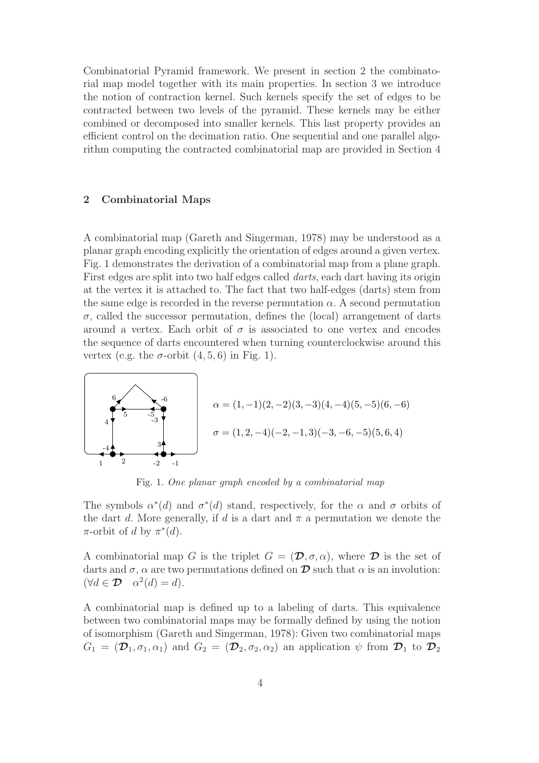Combinatorial Pyramid framework. We present in section 2 the combinatorial map model together with its main properties. In section 3 we introduce the notion of contraction kernel. Such kernels specify the set of edges to be contracted between two levels of the pyramid. These kernels may be either combined or decomposed into smaller kernels. This last property provides an efficient control on the decimation ratio. One sequential and one parallel algorithm computing the contracted combinatorial map are provided in Section 4

#### 2 Combinatorial Maps

A combinatorial map (Gareth and Singerman, 1978) may be understood as a planar graph encoding explicitly the orientation of edges around a given vertex. Fig. 1 demonstrates the derivation of a combinatorial map from a plane graph. First edges are split into two half edges called darts, each dart having its origin at the vertex it is attached to. The fact that two half-edges (darts) stem from the same edge is recorded in the reverse permutation  $\alpha$ . A second permutation  $\sigma$ , called the successor permutation, defines the (local) arrangement of darts around a vertex. Each orbit of  $\sigma$  is associated to one vertex and encodes the sequence of darts encountered when turning counterclockwise around this vertex (e.g. the  $\sigma$ -orbit  $(4, 5, 6)$  in Fig. 1).



Fig. 1. One planar graph encoded by a combinatorial map

The symbols  $\alpha^*(d)$  and  $\sigma^*(d)$  stand, respectively, for the  $\alpha$  and  $\sigma$  orbits of the dart d. More generally, if d is a dart and  $\pi$  a permutation we denote the  $\pi$ -orbit of d by  $\pi^*(d)$ .

A combinatorial map G is the triplet  $G = (\mathcal{D}, \sigma, \alpha)$ , where  $\mathcal D$  is the set of darts and  $\sigma$ ,  $\alpha$  are two permutations defined on  $\mathcal D$  such that  $\alpha$  is an involution:  $(\forall d \in \mathcal{D} \quad \alpha^2(d) = d).$ 

A combinatorial map is defined up to a labeling of darts. This equivalence between two combinatorial maps may be formally defined by using the notion of isomorphism (Gareth and Singerman, 1978): Given two combinatorial maps  $G_1 = (\mathcal{D}_1, \sigma_1, \alpha_1)$  and  $G_2 = (\mathcal{D}_2, \sigma_2, \alpha_2)$  an application  $\psi$  from  $\mathcal{D}_1$  to  $\mathcal{D}_2$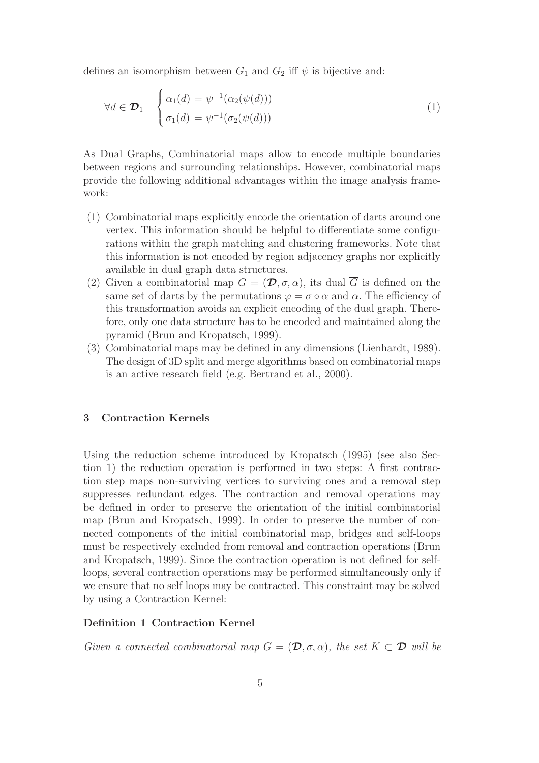defines an isomorphism between  $G_1$  and  $G_2$  iff  $\psi$  is bijective and:

$$
\forall d \in \mathcal{D}_1 \quad \begin{cases} \alpha_1(d) = \psi^{-1}(\alpha_2(\psi(d))) \\ \sigma_1(d) = \psi^{-1}(\sigma_2(\psi(d))) \end{cases} \tag{1}
$$

As Dual Graphs, Combinatorial maps allow to encode multiple boundaries between regions and surrounding relationships. However, combinatorial maps provide the following additional advantages within the image analysis framework:

- (1) Combinatorial maps explicitly encode the orientation of darts around one vertex. This information should be helpful to differentiate some configurations within the graph matching and clustering frameworks. Note that this information is not encoded by region adjacency graphs nor explicitly available in dual graph data structures.
- (2) Given a combinatorial map  $G = (\mathcal{D}, \sigma, \alpha)$ , its dual  $\overline{G}$  is defined on the same set of darts by the permutations  $\varphi = \sigma \circ \alpha$  and  $\alpha$ . The efficiency of this transformation avoids an explicit encoding of the dual graph. Therefore, only one data structure has to be encoded and maintained along the pyramid (Brun and Kropatsch, 1999).
- (3) Combinatorial maps may be defined in any dimensions (Lienhardt, 1989). The design of 3D split and merge algorithms based on combinatorial maps is an active research field (e.g. Bertrand et al., 2000).

## 3 Contraction Kernels

Using the reduction scheme introduced by Kropatsch (1995) (see also Section 1) the reduction operation is performed in two steps: A first contraction step maps non-surviving vertices to surviving ones and a removal step suppresses redundant edges. The contraction and removal operations may be defined in order to preserve the orientation of the initial combinatorial map (Brun and Kropatsch, 1999). In order to preserve the number of connected components of the initial combinatorial map, bridges and self-loops must be respectively excluded from removal and contraction operations (Brun and Kropatsch, 1999). Since the contraction operation is not defined for selfloops, several contraction operations may be performed simultaneously only if we ensure that no self loops may be contracted. This constraint may be solved by using a Contraction Kernel:

## Definition 1 Contraction Kernel

Given a connected combinatorial map  $G = (\mathcal{D}, \sigma, \alpha)$ , the set  $K \subset \mathcal{D}$  will be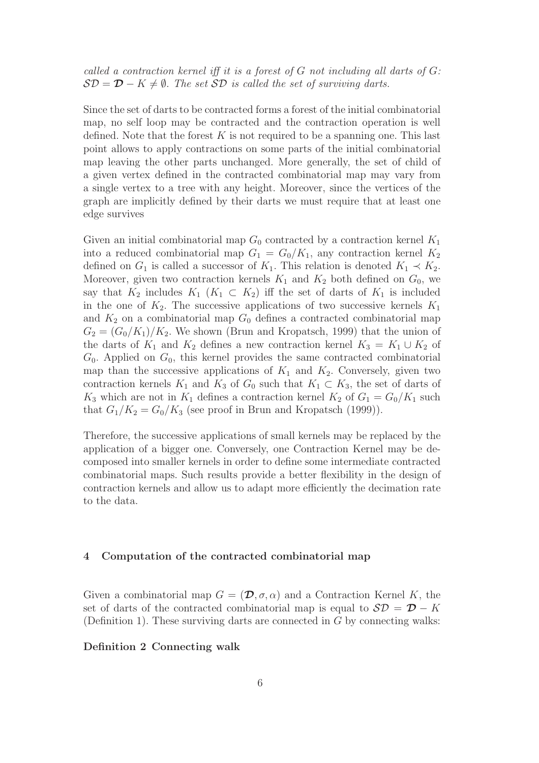called a contraction kernel iff it is a forest of  $G$  not including all darts of  $G$ :  $\mathcal{SD} = \mathcal{D} - K \neq \emptyset$ . The set  $\mathcal{SD}$  is called the set of surviving darts.

Since the set of darts to be contracted forms a forest of the initial combinatorial map, no self loop may be contracted and the contraction operation is well defined. Note that the forest  $K$  is not required to be a spanning one. This last point allows to apply contractions on some parts of the initial combinatorial map leaving the other parts unchanged. More generally, the set of child of a given vertex defined in the contracted combinatorial map may vary from a single vertex to a tree with any height. Moreover, since the vertices of the graph are implicitly defined by their darts we must require that at least one edge survives

Given an initial combinatorial map  $G_0$  contracted by a contraction kernel  $K_1$ into a reduced combinatorial map  $G_1 = G_0/K_1$ , any contraction kernel  $K_2$ defined on  $G_1$  is called a successor of  $K_1$ . This relation is denoted  $K_1 \prec K_2$ . Moreover, given two contraction kernels  $K_1$  and  $K_2$  both defined on  $G_0$ , we say that  $K_2$  includes  $K_1$  ( $K_1 \subset K_2$ ) iff the set of darts of  $K_1$  is included in the one of  $K_2$ . The successive applications of two successive kernels  $K_1$ and  $K_2$  on a combinatorial map  $G_0$  defines a contracted combinatorial map  $G_2 = (G_0/K_1)/K_2$ . We shown (Brun and Kropatsch, 1999) that the union of the darts of  $K_1$  and  $K_2$  defines a new contraction kernel  $K_3 = K_1 \cup K_2$  of  $G_0$ . Applied on  $G_0$ , this kernel provides the same contracted combinatorial map than the successive applications of  $K_1$  and  $K_2$ . Conversely, given two contraction kernels  $K_1$  and  $K_3$  of  $G_0$  such that  $K_1 \subset K_3$ , the set of darts of  $K_3$  which are not in  $K_1$  defines a contraction kernel  $K_2$  of  $G_1 = G_0/K_1$  such that  $G_1/K_2 = G_0/K_3$  (see proof in Brun and Kropatsch (1999)).

Therefore, the successive applications of small kernels may be replaced by the application of a bigger one. Conversely, one Contraction Kernel may be decomposed into smaller kernels in order to define some intermediate contracted combinatorial maps. Such results provide a better flexibility in the design of contraction kernels and allow us to adapt more efficiently the decimation rate to the data.

#### 4 Computation of the contracted combinatorial map

Given a combinatorial map  $G = (\mathcal{D}, \sigma, \alpha)$  and a Contraction Kernel K, the set of darts of the contracted combinatorial map is equal to  $S\mathcal{D} = \mathcal{D} - K$ (Definition 1). These surviving darts are connected in  $G$  by connecting walks:

#### Definition 2 Connecting walk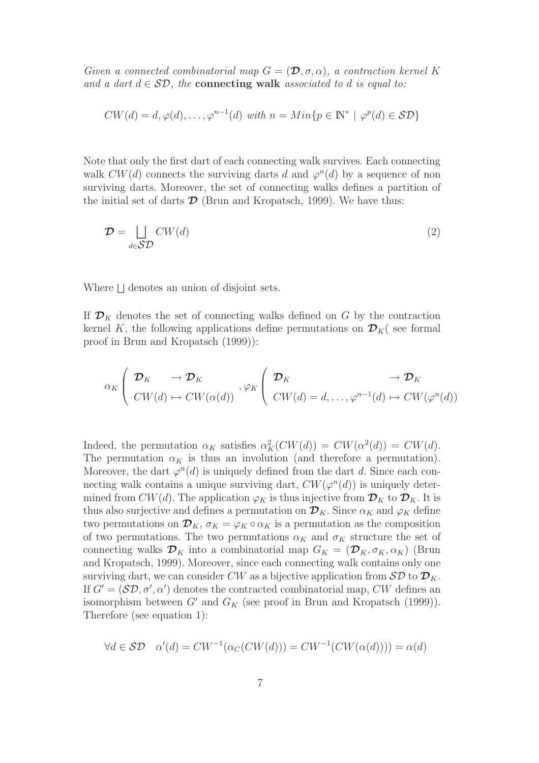Given a connected combinatorial map  $G = (\mathcal{D}, \sigma, \alpha)$ , a contraction kernel K and a dart  $d \in \mathcal{SD}$ , the **connecting walk** associated to d is equal to:

$$
CW(d) = d, \varphi(d), \dots, \varphi^{n-1}(d) \text{ with } n = Min\{p \in \mathbb{N}^* \mid \varphi^p(d) \in \mathcal{SD}\}\
$$

Note that only the first dart of each connecting walk survives. Each connecting walk  $CW(d)$  connects the surviving darts d and  $\varphi^{n}(d)$  by a sequence of non surviving darts. Moreover, the set of connecting walks defines a partition of the initial set of darts  $\mathcal D$  (Brun and Kropatsch, 1999). We have thus:

$$
\mathcal{D} = \bigsqcup_{d \in \mathcal{SD}} CW(d) \tag{2}
$$

Where  $\Box$  denotes an union of disjoint sets.

If  $\mathcal{D}_K$  denotes the set of connecting walks defined on G by the contraction kernel K, the following applications define permutations on  $\mathcal{D}_K$  see formal proof in Brun and Kropatsch (1999)):

$$
\alpha_K \left( \begin{array}{ccc} \mathcal{D}_K & \to \mathcal{D}_K \\ CW(d) \mapsto CW(\alpha(d)) \end{array} \right) \left\{ \begin{array}{ccc} \mathcal{D}_K & \to \mathcal{D}_K \\ CW(d) = d, \dots, \varphi^{n-1}(d) \mapsto CW(\varphi^n(d)) \end{array} \right\}
$$

Indeed, the permutation  $\alpha_K$  satisfies  $\alpha_K^2(CW(d)) = CW(\alpha^2(d)) = CW(d)$ . The permutation  $\alpha_K$  is thus an involution (and therefore a permutation). Moreover, the dart  $\varphi^{n}(d)$  is uniquely defined from the dart d. Since each connecting walk contains a unique surviving dart,  $CW(\varphi^n(d))$  is uniquely determined from  $CW(d)$ . The application  $\varphi_K$  is thus injective from  $\mathcal{D}_K$  to  $\mathcal{D}_K$ . It is thus also surjective and defines a permutation on  $\mathcal{D}_K$ . Since  $\alpha_K$  and  $\varphi_K$  define two permutations on  $\mathcal{D}_K$ ,  $\sigma_K = \varphi_K \circ \alpha_K$  is a permutation as the composition of two permutations. The two permutations  $\alpha_K$  and  $\sigma_K$  structure the set of connecting walks  $\mathcal{D}_K$  into a combinatorial map  $G_K = (\mathcal{D}_K, \sigma_K, \alpha_K)$  (Brun and Kropatsch, 1999). Moreover, since each connecting walk contains only one surviving dart, we can consider CW as a bijective application from  $\mathcal{SD}$  to  $\mathcal{D}_K$ . If  $G' = (\mathcal{SD}, \sigma', \alpha')$  denotes the contracted combinatorial map, CW defines an isomorphism between G' and  $G_K$  (see proof in Brun and Kropatsch (1999)). Therefore (see equation 1):

$$
\forall d \in \mathcal{SD} \quad \alpha'(d) = CW^{-1}(\alpha_C(CW(d))) = CW^{-1}(CW(\alpha(d)))) = \alpha(d)
$$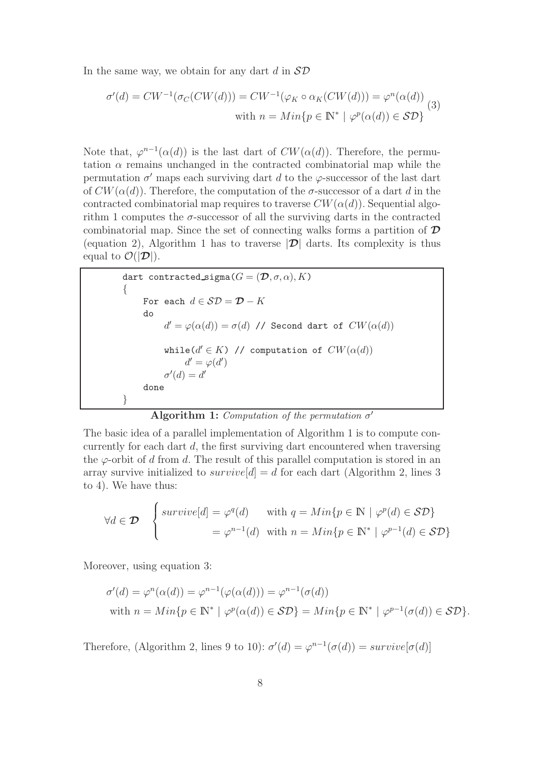In the same way, we obtain for any dart  $d$  in  $\mathcal{SD}$ 

$$
\sigma'(d) = CW^{-1}(\sigma_C(CW(d))) = CW^{-1}(\varphi_K \circ \alpha_K(CW(d))) = \varphi^n(\alpha(d))
$$
  
with  $n = Min\{p \in \mathbb{N}^* \mid \varphi^p(\alpha(d)) \in \mathcal{SD}\}\$  (3)

Note that,  $\varphi^{n-1}(\alpha(d))$  is the last dart of  $CW(\alpha(d))$ . Therefore, the permutation  $\alpha$  remains unchanged in the contracted combinatorial map while the permutation  $\sigma'$  maps each surviving dart d to the  $\varphi$ -successor of the last dart of  $CW(\alpha(d))$ . Therefore, the computation of the  $\sigma$ -successor of a dart d in the contracted combinatorial map requires to traverse  $CW(\alpha(d))$ . Sequential algorithm 1 computes the  $\sigma$ -successor of all the surviving darts in the contracted combinatorial map. Since the set of connecting walks forms a partition of  $\mathcal D$ (equation 2), Algorithm 1 has to traverse  $|\mathcal{D}|$  darts. Its complexity is thus equal to  $\mathcal{O}(|\mathcal{D}|)$ .

```
\n
$$
\begin{aligned}\n\text{dart contracted\_sigma}(G &= (\mathcal{D}, \sigma, \alpha), K) \\
\{\n\begin{aligned}\n\text{For each } d \in \mathcal{SD} &= \mathcal{D} - K \\
\text{do} \\
d' &= \varphi(\alpha(d)) = \sigma(d) \text{ // Second dart of } CW(\alpha(d)) \\
\text{while}(d' \in K) \text{ // computation of } CW(\alpha(d)) \\
d' &= \varphi(d') \\
\sigma'(d) &= d'\n\end{aligned}\n\end{aligned}
$$

```

Algorithm 1: Computation of the permutation  $\sigma'$ 

The basic idea of a parallel implementation of Algorithm 1 is to compute concurrently for each dart  $d$ , the first surviving dart encountered when traversing the  $\varphi$ -orbit of d from d. The result of this parallel computation is stored in an array survive initialized to  $survive[d] = d$  for each dart (Algorithm 2, lines 3) to 4). We have thus:

$$
\forall d \in \mathcal{D} \quad \begin{cases} \text{survive}[d] = \varphi^q(d) & \text{with } q = \text{Min}\{p \in \mathbb{N} \mid \varphi^p(d) \in \mathcal{SD}\} \\ = \varphi^{n-1}(d) & \text{with } n = \text{Min}\{p \in \mathbb{N}^* \mid \varphi^{p-1}(d) \in \mathcal{SD}\} \end{cases}
$$

Moreover, using equation 3:

$$
\sigma'(d) = \varphi^n(\alpha(d)) = \varphi^{n-1}(\varphi(\alpha(d))) = \varphi^{n-1}(\sigma(d))
$$
  
with  $n = Min\{p \in \mathbb{N}^* \mid \varphi^p(\alpha(d)) \in \mathcal{SD}\} = Min\{p \in \mathbb{N}^* \mid \varphi^{p-1}(\sigma(d)) \in \mathcal{SD}\}.$ 

Therefore, (Algorithm 2, lines 9 to 10):  $\sigma'(d) = \varphi^{n-1}(\sigma(d)) = survive[\sigma(d)]$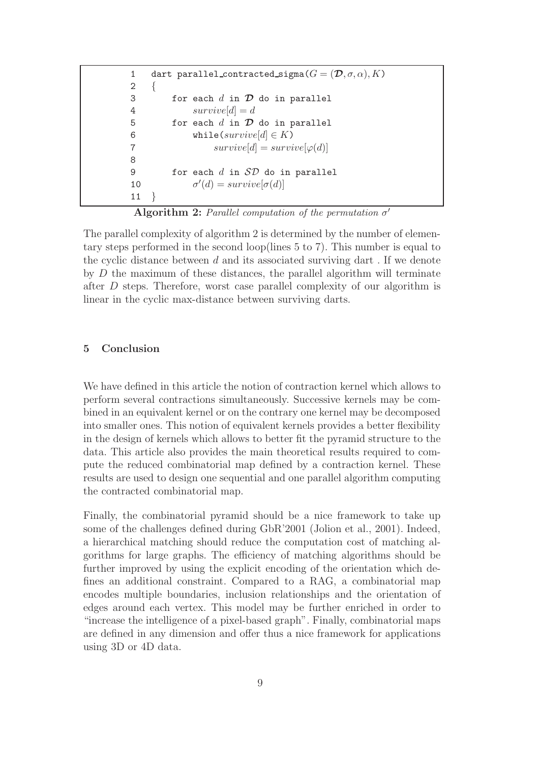1 dart parallel\_contracted\_sigma $(G = (\mathcal{D}, \sigma, \alpha), K)$  $2 \{$ 3 for each  $d$  in  $\mathcal D$  do in parallel 4  $survive[d] = d$ 5 for each  $d$  in  $\mathcal D$  do in parallel 6 while(survive[ $d$ ]  $\in$  K) 7  $survive[d] = survive[\varphi(d)]$ 8 9 for each  $d$  in  $SD$  do in parallel 10  $\prime'(d) = survive[\sigma(d)]$ 11 }

Algorithm 2: Parallel computation of the permutation  $\sigma'$ 

The parallel complexity of algorithm 2 is determined by the number of elementary steps performed in the second loop(lines 5 to 7). This number is equal to the cyclic distance between  $d$  and its associated surviving dart. If we denote by  $D$  the maximum of these distances, the parallel algorithm will terminate after D steps. Therefore, worst case parallel complexity of our algorithm is linear in the cyclic max-distance between surviving darts.

## 5 Conclusion

We have defined in this article the notion of contraction kernel which allows to perform several contractions simultaneously. Successive kernels may be combined in an equivalent kernel or on the contrary one kernel may be decomposed into smaller ones. This notion of equivalent kernels provides a better flexibility in the design of kernels which allows to better fit the pyramid structure to the data. This article also provides the main theoretical results required to compute the reduced combinatorial map defined by a contraction kernel. These results are used to design one sequential and one parallel algorithm computing the contracted combinatorial map.

Finally, the combinatorial pyramid should be a nice framework to take up some of the challenges defined during GbR'2001 (Jolion et al., 2001). Indeed, a hierarchical matching should reduce the computation cost of matching algorithms for large graphs. The efficiency of matching algorithms should be further improved by using the explicit encoding of the orientation which defines an additional constraint. Compared to a RAG, a combinatorial map encodes multiple boundaries, inclusion relationships and the orientation of edges around each vertex. This model may be further enriched in order to "increase the intelligence of a pixel-based graph". Finally, combinatorial maps are defined in any dimension and offer thus a nice framework for applications using 3D or 4D data.